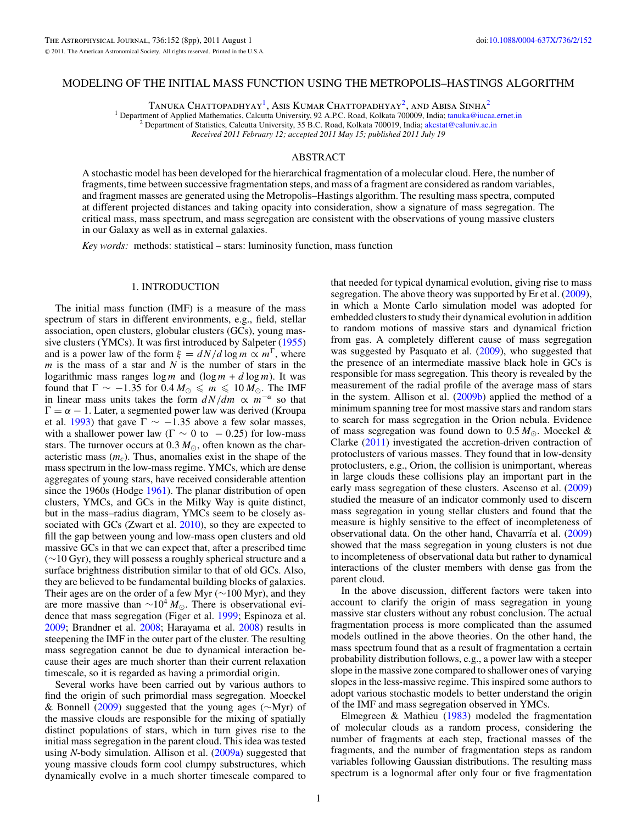### MODELING OF THE INITIAL MASS FUNCTION USING THE METROPOLIS–HASTINGS ALGORITHM

TANUKA CHATTOPADHYAY<sup>1</sup>, Asis Kumar Chattopadhyay<sup>2</sup>, and Abisa Sinha<sup>2</sup>

<sup>1</sup> Department of Applied Mathematics, Calcutta University, 92 A.P.C. Road, Kolkata 700009, India; [tanuka@iucaa.ernet.in](mailto:tanuka@iucaa.ernet.in) <sup>2</sup> Department of Statistics, Calcutta University, 35 B.C. Road, Kolkata 700019, India; akcstat@calu

*Received 2011 February 12; accepted 2011 May 15; published 2011 July 19*

### ABSTRACT

A stochastic model has been developed for the hierarchical fragmentation of a molecular cloud. Here, the number of fragments, time between successive fragmentation steps, and mass of a fragment are considered as random variables, and fragment masses are generated using the Metropolis–Hastings algorithm. The resulting mass spectra, computed at different projected distances and taking opacity into consideration, show a signature of mass segregation. The critical mass, mass spectrum, and mass segregation are consistent with the observations of young massive clusters in our Galaxy as well as in external galaxies.

*Key words:* methods: statistical – stars: luminosity function, mass function

# 1. INTRODUCTION

The initial mass function (IMF) is a measure of the mass spectrum of stars in different environments, e.g., field, stellar association, open clusters, globular clusters (GCs), young massive clusters (YMCs). It was first introduced by Salpeter [\(1955\)](#page-7-0) and is a power law of the form  $\xi = dN/d \log m \propto m^{\Gamma}$ , where *m* is the mass of a star and *N* is the number of stars in the logarithmic mass ranges  $\log m$  and  $(\log m + d \log m)$ . It was found that  $\Gamma \sim -1.35$  for  $0.4 M_{\odot} \le m \le 10 M_{\odot}$ . The IMF in linear mass units takes the form  $dN/dm \propto m^{-\alpha}$  so that  $\Gamma = \alpha - 1$ . Later, a segmented power law was derived (Kroupa) et al. [1993\)](#page-7-0) that gave  $\Gamma \sim -1.35$  above a few solar masses, with a shallower power law ( $\Gamma \sim 0$  to  $-0.25$ ) for low-mass stars. The turnover occurs at  $0.3 M_{\odot}$ , often known as the characteristic mass (*mc*). Thus, anomalies exist in the shape of the mass spectrum in the low-mass regime. YMCs, which are dense aggregates of young stars, have received considerable attention since the 1960s (Hodge [1961\)](#page-7-0). The planar distribution of open clusters, YMCs, and GCs in the Milky Way is quite distinct, but in the mass–radius diagram, YMCs seem to be closely as-sociated with GCs (Zwart et al. [2010\)](#page-7-0), so they are expected to fill the gap between young and low-mass open clusters and old massive GCs in that we can expect that, after a prescribed time (∼10 Gyr), they will possess a roughly spherical structure and a surface brightness distribution similar to that of old GCs. Also, they are believed to be fundamental building blocks of galaxies. Their ages are on the order of a few Myr (∼100 Myr), and they are more massive than  $\sim 10^4 M_{\odot}$ . There is observational evidence that mass segregation (Figer et al. [1999;](#page-7-0) Espinoza et al. [2009;](#page-7-0) Brandner et al. [2008;](#page-7-0) Harayama et al. [2008\)](#page-7-0) results in steepening the IMF in the outer part of the cluster. The resulting mass segregation cannot be due to dynamical interaction because their ages are much shorter than their current relaxation timescale, so it is regarded as having a primordial origin.

Several works have been carried out by various authors to find the origin of such primordial mass segregation. Moeckel & Bonnell [\(2009\)](#page-7-0) suggested that the young ages (∼Myr) of the massive clouds are responsible for the mixing of spatially distinct populations of stars, which in turn gives rise to the initial mass segregation in the parent cloud. This idea was tested using *N*-body simulation. Allison et al. [\(2009a\)](#page-7-0) suggested that young massive clouds form cool clumpy substructures, which dynamically evolve in a much shorter timescale compared to

that needed for typical dynamical evolution, giving rise to mass segregation. The above theory was supported by Er et al. [\(2009\)](#page-7-0), in which a Monte Carlo simulation model was adopted for embedded clusters to study their dynamical evolution in addition to random motions of massive stars and dynamical friction from gas. A completely different cause of mass segregation was suggested by Pasquato et al. [\(2009\)](#page-7-0), who suggested that the presence of an intermediate massive black hole in GCs is responsible for mass segregation. This theory is revealed by the measurement of the radial profile of the average mass of stars in the system. Allison et al. [\(2009b\)](#page-7-0) applied the method of a minimum spanning tree for most massive stars and random stars to search for mass segregation in the Orion nebula. Evidence of mass segregation was found down to  $0.5 M_{\odot}$ . Moeckel & Clarke [\(2011\)](#page-7-0) investigated the accretion-driven contraction of protoclusters of various masses. They found that in low-density protoclusters, e.g., Orion, the collision is unimportant, whereas in large clouds these collisions play an important part in the early mass segregation of these clusters. Ascenso et al. [\(2009\)](#page-7-0) studied the measure of an indicator commonly used to discern mass segregation in young stellar clusters and found that the measure is highly sensitive to the effect of incompleteness of observational data. On the other hand, Chavarría et al. [\(2009\)](#page-7-0) showed that the mass segregation in young clusters is not due to incompleteness of observational data but rather to dynamical interactions of the cluster members with dense gas from the parent cloud.

In the above discussion, different factors were taken into account to clarify the origin of mass segregation in young massive star clusters without any robust conclusion. The actual fragmentation process is more complicated than the assumed models outlined in the above theories. On the other hand, the mass spectrum found that as a result of fragmentation a certain probability distribution follows, e.g., a power law with a steeper slope in the massive zone compared to shallower ones of varying slopes in the less-massive regime. This inspired some authors to adopt various stochastic models to better understand the origin of the IMF and mass segregation observed in YMCs.

Elmegreen & Mathieu [\(1983\)](#page-7-0) modeled the fragmentation of molecular clouds as a random process, considering the number of fragments at each step, fractional masses of the fragments, and the number of fragmentation steps as random variables following Gaussian distributions. The resulting mass spectrum is a lognormal after only four or five fragmentation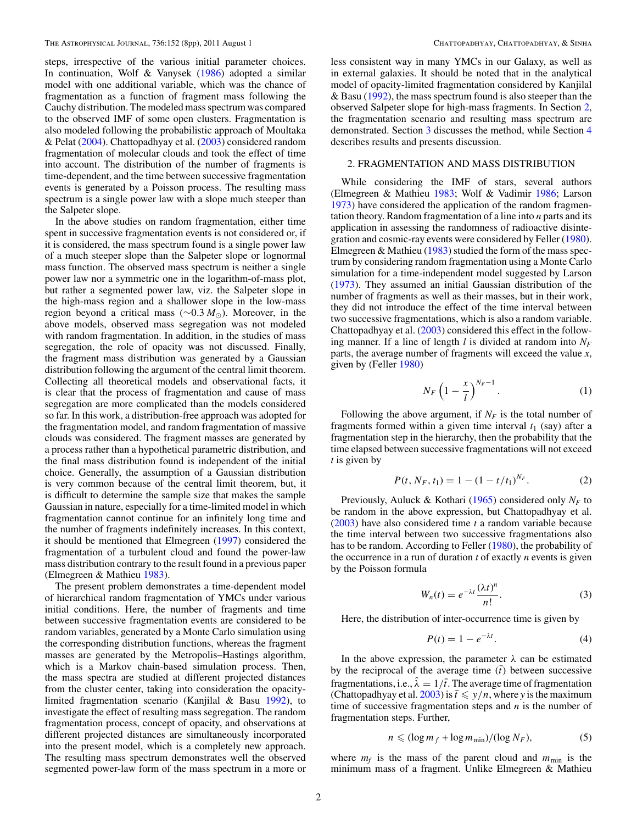<span id="page-1-0"></span>steps, irrespective of the various initial parameter choices. In continuation, Wolf & Vanysek [\(1986\)](#page-7-0) adopted a similar model with one additional variable, which was the chance of fragmentation as a function of fragment mass following the Cauchy distribution. The modeled mass spectrum was compared to the observed IMF of some open clusters. Fragmentation is also modeled following the probabilistic approach of Moultaka & Pelat [\(2004\)](#page-7-0). Chattopadhyay et al. [\(2003\)](#page-7-0) considered random fragmentation of molecular clouds and took the effect of time into account. The distribution of the number of fragments is time-dependent, and the time between successive fragmentation events is generated by a Poisson process. The resulting mass spectrum is a single power law with a slope much steeper than the Salpeter slope.

In the above studies on random fragmentation, either time spent in successive fragmentation events is not considered or, if it is considered, the mass spectrum found is a single power law of a much steeper slope than the Salpeter slope or lognormal mass function. The observed mass spectrum is neither a single power law nor a symmetric one in the logarithm-of-mass plot, but rather a segmented power law, viz. the Salpeter slope in the high-mass region and a shallower slope in the low-mass region beyond a critical mass (∼0.3 *M*<sub>⊙</sub>). Moreover, in the above models, observed mass segregation was not modeled with random fragmentation. In addition, in the studies of mass segregation, the role of opacity was not discussed. Finally, the fragment mass distribution was generated by a Gaussian distribution following the argument of the central limit theorem. Collecting all theoretical models and observational facts, it is clear that the process of fragmentation and cause of mass segregation are more complicated than the models considered so far. In this work, a distribution-free approach was adopted for the fragmentation model, and random fragmentation of massive clouds was considered. The fragment masses are generated by a process rather than a hypothetical parametric distribution, and the final mass distribution found is independent of the initial choice. Generally, the assumption of a Gaussian distribution is very common because of the central limit theorem, but, it is difficult to determine the sample size that makes the sample Gaussian in nature, especially for a time-limited model in which fragmentation cannot continue for an infinitely long time and the number of fragments indefinitely increases. In this context, it should be mentioned that Elmegreen [\(1997\)](#page-7-0) considered the fragmentation of a turbulent cloud and found the power-law mass distribution contrary to the result found in a previous paper (Elmegreen & Mathieu [1983\)](#page-7-0).

The present problem demonstrates a time-dependent model of hierarchical random fragmentation of YMCs under various initial conditions. Here, the number of fragments and time between successive fragmentation events are considered to be random variables, generated by a Monte Carlo simulation using the corresponding distribution functions, whereas the fragment masses are generated by the Metropolis–Hastings algorithm, which is a Markov chain-based simulation process. Then, the mass spectra are studied at different projected distances from the cluster center, taking into consideration the opacitylimited fragmentation scenario (Kanjilal & Basu [1992\)](#page-7-0), to investigate the effect of resulting mass segregation. The random fragmentation process, concept of opacity, and observations at different projected distances are simultaneously incorporated into the present model, which is a completely new approach. The resulting mass spectrum demonstrates well the observed segmented power-law form of the mass spectrum in a more or less consistent way in many YMCs in our Galaxy, as well as in external galaxies. It should be noted that in the analytical model of opacity-limited fragmentation considered by Kanjilal & Basu [\(1992\)](#page-7-0), the mass spectrum found is also steeper than the observed Salpeter slope for high-mass fragments. In Section 2, the fragmentation scenario and resulting mass spectrum are demonstrated. Section [3](#page-2-0) discusses the method, while Section [4](#page-3-0) describes results and presents discussion.

### 2. FRAGMENTATION AND MASS DISTRIBUTION

While considering the IMF of stars, several authors (Elmegreen & Mathieu [1983;](#page-7-0) Wolf & Vadimir [1986;](#page-7-0) Larson [1973\)](#page-7-0) have considered the application of the random fragmentation theory. Random fragmentation of a line into *n* parts and its application in assessing the randomness of radioactive disintegration and cosmic-ray events were considered by Feller [\(1980\)](#page-7-0). Elmegreen & Mathieu  $(1983)$  studied the form of the mass spectrum by considering random fragmentation using a Monte Carlo simulation for a time-independent model suggested by Larson [\(1973\)](#page-7-0). They assumed an initial Gaussian distribution of the number of fragments as well as their masses, but in their work, they did not introduce the effect of the time interval between two successive fragmentations, which is also a random variable. Chattopadhyay et al. [\(2003\)](#page-7-0) considered this effect in the following manner. If a line of length *l* is divided at random into  $N_F$ parts, the average number of fragments will exceed the value *x*, given by (Feller [1980\)](#page-7-0)

$$
N_F \left(1 - \frac{x}{l}\right)^{N_F - 1}.\tag{1}
$$

Following the above argument, if  $N_F$  is the total number of fragments formed within a given time interval  $t_1$  (say) after a fragmentation step in the hierarchy, then the probability that the time elapsed between successive fragmentations will not exceed *t* is given by

$$
P(t, N_F, t_1) = 1 - (1 - t/t_1)^{N_F}.
$$
 (2)

Previously, Auluck & Kothari [\(1965\)](#page-7-0) considered only  $N_F$  to be random in the above expression, but Chattopadhyay et al. [\(2003\)](#page-7-0) have also considered time *t* a random variable because the time interval between two successive fragmentations also has to be random. According to Feller [\(1980\)](#page-7-0), the probability of the occurrence in a run of duration *t* of exactly *n* events is given by the Poisson formula

$$
W_n(t) = e^{-\lambda t} \frac{(\lambda t)^n}{n!}.
$$
 (3)

Here, the distribution of inter-occurrence time is given by

$$
P(t) = 1 - e^{-\lambda t}.\tag{4}
$$

In the above expression, the parameter  $\lambda$  can be estimated by the reciprocal of the average time  $(\bar{t})$  between successive fragmentations, i.e.,  $\lambda = 1/\bar{t}$ . The average time of fragmentation (Chattopadhyay et al. [2003\)](#page-7-0) is  $\bar{t} \leq y/n$ , where *y* is the maximum time of successive fragmentation steps and *n* is the number of fragmentation steps. Further,

$$
n \leqslant (\log m_f + \log m_{\min})/(\log N_F),\tag{5}
$$

where  $m_f$  is the mass of the parent cloud and  $m_{\text{min}}$  is the minimum mass of a fragment. Unlike Elmegreen & Mathieu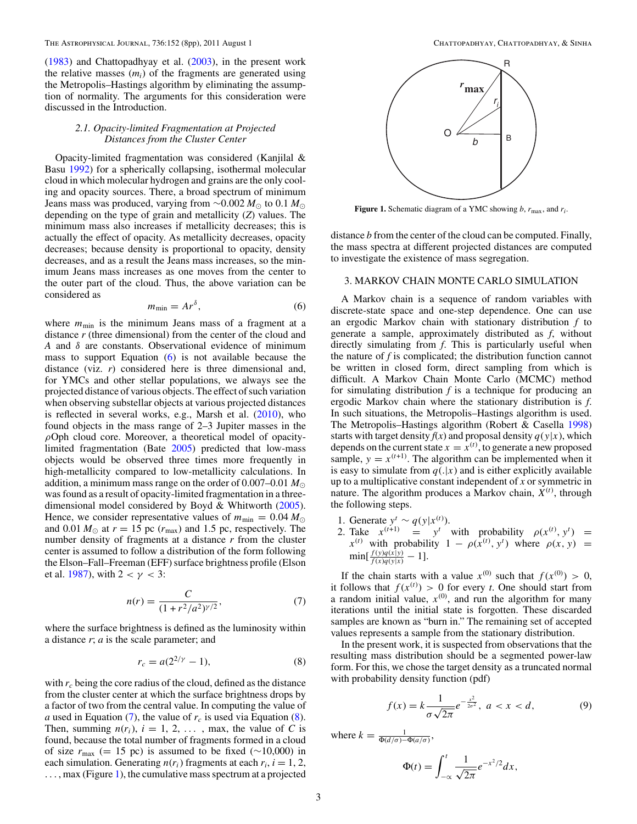<span id="page-2-0"></span>[\(1983\)](#page-7-0) and Chattopadhyay et al. [\(2003\)](#page-7-0), in the present work the relative masses  $(m_i)$  of the fragments are generated using the Metropolis–Hastings algorithm by eliminating the assumption of normality. The arguments for this consideration were discussed in the Introduction.

### *2.1. Opacity-limited Fragmentation at Projected Distances from the Cluster Center*

Opacity-limited fragmentation was considered (Kanjilal & Basu [1992\)](#page-7-0) for a spherically collapsing, isothermal molecular cloud in which molecular hydrogen and grains are the only cooling and opacity sources. There, a broad spectrum of minimum Jeans mass was produced, varying from  $\sim$ 0.002 *M*<sub>⊙</sub> to 0.1 *M*<sub>☉</sub> depending on the type of grain and metallicity (*Z*) values. The minimum mass also increases if metallicity decreases; this is actually the effect of opacity. As metallicity decreases, opacity decreases; because density is proportional to opacity, density decreases, and as a result the Jeans mass increases, so the minimum Jeans mass increases as one moves from the center to the outer part of the cloud. Thus, the above variation can be considered as

$$
m_{\min} = Ar^{\delta},\tag{6}
$$

where  $m_{\text{min}}$  is the minimum Jeans mass of a fragment at a distance *r* (three dimensional) from the center of the cloud and *A* and *δ* are constants. Observational evidence of minimum mass to support Equation  $(6)$  is not available because the distance (viz. *r*) considered here is three dimensional and, for YMCs and other stellar populations, we always see the projected distance of various objects. The effect of such variation when observing substellar objects at various projected distances is reflected in several works, e.g., Marsh et al. [\(2010\)](#page-7-0), who found objects in the mass range of 2–3 Jupiter masses in the *ρ*Oph cloud core. Moreover, a theoretical model of opacitylimited fragmentation (Bate [2005\)](#page-7-0) predicted that low-mass objects would be observed three times more frequently in high-metallicity compared to low-metallicity calculations. In addition, a minimum mass range on the order of  $0.007-0.01 M_{\odot}$ was found as a result of opacity-limited fragmentation in a threedimensional model considered by Boyd & Whitworth [\(2005\)](#page-7-0). Hence, we consider representative values of  $m_{\text{min}} = 0.04 M_{\odot}$ and 0.01  $M_{\odot}$  at  $r = 15$  pc ( $r_{\text{max}}$ ) and 1.5 pc, respectively. The number density of fragments at a distance *r* from the cluster center is assumed to follow a distribution of the form following the Elson–Fall–Freeman (EFF) surface brightness profile (Elson et al. [1987\)](#page-7-0), with  $2 < \gamma < 3$ :

$$
n(r) = \frac{C}{(1 + r^2/a^2)^{\gamma/2}},\tag{7}
$$

where the surface brightness is defined as the luminosity within a distance *r*; *a* is the scale parameter; and

$$
r_c = a(2^{2/\gamma} - 1),
$$
 (8)

with  $r_c$  being the core radius of the cloud, defined as the distance from the cluster center at which the surface brightness drops by a factor of two from the central value. In computing the value of *a* used in Equation (7), the value of  $r_c$  is used via Equation (8). Then, summing  $n(r_i)$ ,  $i = 1, 2, \ldots$ , max, the value of *C* is found, because the total number of fragments formed in a cloud of size  $r_{\text{max}}$  (= 15 pc) is assumed to be fixed ( $\sim$ 10,000) in each simulation. Generating  $n(r_i)$  fragments at each  $r_i$ ,  $i = 1, 2$ , *...* , max (Figure 1), the cumulative mass spectrum at a projected



**Figure 1.** Schematic diagram of a YMC showing *b*,  $r_{\text{max}}$ , and  $r_i$ .

distance *b* from the center of the cloud can be computed. Finally, the mass spectra at different projected distances are computed to investigate the existence of mass segregation.

## 3. MARKOV CHAIN MONTE CARLO SIMULATION

A Markov chain is a sequence of random variables with discrete-state space and one-step dependence. One can use an ergodic Markov chain with stationary distribution *f* to generate a sample, approximately distributed as *f*, without directly simulating from *f*. This is particularly useful when the nature of *f* is complicated; the distribution function cannot be written in closed form, direct sampling from which is difficult. A Markov Chain Monte Carlo (MCMC) method for simulating distribution  $f$  is a technique for producing an ergodic Markov chain where the stationary distribution is *f*. In such situations, the Metropolis–Hastings algorithm is used. The Metropolis–Hastings algorithm (Robert & Casella [1998\)](#page-7-0) starts with target density  $f(x)$  and proposal density  $q(y|x)$ , which depends on the current state  $x = x^{(t)}$ , to generate a new proposed sample,  $y = x^{(t+1)}$ . The algorithm can be implemented when it is easy to simulate from  $q(.|x)$  and is either explicitly available up to a multiplicative constant independent of *x* or symmetric in nature. The algorithm produces a Markov chain,  $\dot{X}^{(t)}$ , through the following steps.

1. Generate  $y^t$  ∼  $q(y|x^{(t)})$ . 2. Take  $x^{(t+1)} = y^t$  with probability  $\rho(x^{(t)}, y^t) =$  $x^{(t)}$  with probability  $1 - \rho(x^{(t)}, y^t)$  where  $\rho(x, y) =$  $\min[\frac{f(y)q(x|y)}{f(x)q(y|x)}-1].$ 

If the chain starts with a value  $x^{(0)}$  such that  $f(x^{(0)}) > 0$ , it follows that  $f(x^{(t)}) > 0$  for every *t*. One should start from a random initial value,  $x^{(0)}$ , and run the algorithm for many iterations until the initial state is forgotten. These discarded samples are known as "burn in." The remaining set of accepted values represents a sample from the stationary distribution.

In the present work, it is suspected from observations that the resulting mass distribution should be a segmented power-law form. For this, we chose the target density as a truncated normal with probability density function (pdf)

$$
f(x) = k \frac{1}{\sigma \sqrt{2\pi}} e^{-\frac{x^2}{2\sigma^2}}, \ a < x < d,\tag{9}
$$

where  $k = \frac{1}{\Phi(d/\sigma) - \Phi(a/\sigma)},$ 

$$
\Phi(t) = \int_{-\infty}^{t} \frac{1}{\sqrt{2\pi}} e^{-x^2/2} dx,
$$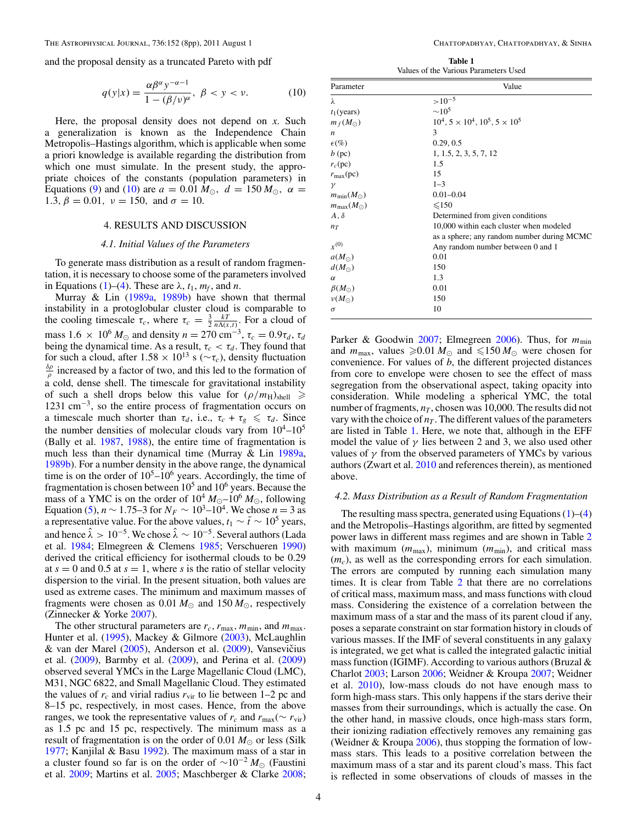<span id="page-3-0"></span>and the proposal density as a truncated Pareto with pdf

$$
q(y|x) = \frac{\alpha \beta^{\alpha} y^{-\alpha - 1}}{1 - (\beta/\nu)^{\alpha}}, \ \beta < y < \nu. \tag{10}
$$

Here, the proposal density does not depend on *x*. Such a generalization is known as the Independence Chain Metropolis–Hastings algorithm, which is applicable when some a priori knowledge is available regarding the distribution from which one must simulate. In the present study, the appropriate choices of the constants (population parameters) in Equations [\(9\)](#page-2-0) and (10) are  $a = 0.01 M_{\odot}$ ,  $d = 150 M_{\odot}$ ,  $\alpha =$ 1.3,  $\beta = 0.01$ ,  $\nu = 150$ , and  $\sigma = 10$ .

### 4. RESULTS AND DISCUSSION

### *4.1. Initial Values of the Parameters*

To generate mass distribution as a result of random fragmentation, it is necessary to choose some of the parameters involved in Equations [\(1\)](#page-1-0)–[\(4\)](#page-1-0). These are  $\lambda$ ,  $t_1$ ,  $m_f$ , and *n*.

Murray & Lin [\(1989a,](#page-7-0) [1989b\)](#page-7-0) have shown that thermal instability in a protoglobular cluster cloud is comparable to the cooling timescale  $\tau_c$ , where  $\tau_c = \frac{3}{2} \frac{kT}{n\Lambda(x,t)}$ . For a cloud of mass  $1.6 \times 10^6 M_{\odot}$  and density  $n = 270 \text{ cm}^{-3}$ ,  $\tau_c = 0.9 \tau_d$ ,  $\tau_d$ being the dynamical time. As a result,  $\tau_c < \tau_d$ . They found that for such a cloud, after  $1.58 \times 10^{13}$  s ( $\sim \tau_c$ ), density fluctuation  $\frac{\delta \rho}{\rho}$  increased by a factor of two, and this led to the formation of a cold, dense shell. The timescale for gravitational instability of such a shell drops below this value for  $(\rho/m_H)_{shell} \ge$ 1231 cm−3, so the entire process of fragmentation occurs on a timescale much shorter than  $\tau_d$ , i.e.,  $\tau_c + \tau_g \leq \tau_d$ . Since the number densities of molecular clouds vary from  $10^4$ – $10^5$ (Bally et al. [1987,](#page-7-0) [1988\)](#page-7-0), the entire time of fragmentation is much less than their dynamical time (Murray & Lin [1989a,](#page-7-0) [1989b\)](#page-7-0). For a number density in the above range, the dynamical time is on the order of  $10^5$ – $10^6$  years. Accordingly, the time of fragmentation is chosen between  $10<sup>5</sup>$  and  $10<sup>6</sup>$  years. Because the mass of a YMC is on the order of  $10^4 M_{\odot}$ – $10^6 M_{\odot}$ , following Equation [\(5\)](#page-1-0),  $n \sim 1.75-3$  for  $N_F \sim 10^3 - 10^4$ . We chose  $n = 3$  as a representative value. For the above values,  $t_1 \sim \bar{t} \sim 10^5$  years, and hence  $\hat{\lambda} > 10^{-5}$ . We chose  $\hat{\lambda} \sim 10^{-5}$ . Several authors (Lada et al. [1984;](#page-7-0) Elmegreen & Clemens [1985;](#page-7-0) Verschueren [1990\)](#page-7-0) derived the critical efficiency for isothermal clouds to be 0.29 at  $s = 0$  and 0.5 at  $s = 1$ , where *s* is the ratio of stellar velocity dispersion to the virial. In the present situation, both values are used as extreme cases. The minimum and maximum masses of fragments were chosen as 0.01  $M_{\odot}$  and 150  $M_{\odot}$ , respectively (Zinnecker & Yorke [2007\)](#page-7-0).

The other structural parameters are  $r_c$ ,  $r_{\text{max}}$ ,  $m_{\text{min}}$ , and  $m_{\text{max}}$ . Hunter et al. [\(1995\)](#page-7-0), Mackey & Gilmore [\(2003\)](#page-7-0), McLaughlin  $\&$  van der Marel [\(2005\)](#page-7-0), Anderson et al. [\(2009\)](#page-7-0), Vansevičius et al. [\(2009\)](#page-7-0), Barmby et al. [\(2009\)](#page-7-0), and Perina et al. [\(2009\)](#page-7-0) observed several YMCs in the Large Magellanic Cloud (LMC), M31, NGC 6822, and Small Magellanic Cloud. They estimated the values of  $r_c$  and virial radius  $r_{\rm vir}$  to lie between 1–2 pc and 8–15 pc, respectively, in most cases. Hence, from the above ranges, we took the representative values of  $r_c$  and  $r_{\text{max}}(\sim r_{\text{vir}})$ as 1.5 pc and 15 pc, respectively. The minimum mass as a result of fragmentation is on the order of 0.01  $M_{\odot}$  or less (Silk [1977;](#page-7-0) Kanjilal & Basu [1992\)](#page-7-0). The maximum mass of a star in a cluster found so far is on the order of  $\sim 10^{-2} M_{\odot}$  (Faustini et al. [2009;](#page-7-0) Martins et al. [2005;](#page-7-0) Maschberger & Clarke [2008;](#page-7-0)

**Table 1** Values of the Various Parameters Used

| Parameter                   | Value                                               |  |  |  |  |
|-----------------------------|-----------------------------------------------------|--|--|--|--|
| λ                           | $>10^{-5}$                                          |  |  |  |  |
| $t_1$ (years)               | $\sim 10^5$                                         |  |  |  |  |
| $m_f(M_{\odot})$            | $10^4$ , $5 \times 10^4$ , $10^5$ , $5 \times 10^5$ |  |  |  |  |
| $\boldsymbol{n}$            | 3                                                   |  |  |  |  |
| $\epsilon$ (%)              | 0.29, 0.5                                           |  |  |  |  |
| $b$ (pc)                    | 1, 1.5, 2, 3, 5, 7, 12                              |  |  |  |  |
| $r_c$ (pc)                  | 1.5                                                 |  |  |  |  |
| $r_{\text{max}}(\text{pc})$ | 15                                                  |  |  |  |  |
| $\gamma$                    | $1 - 3$                                             |  |  |  |  |
| $m_{\min}(M_{\odot})$       | $0.01 - 0.04$                                       |  |  |  |  |
| $m_{\text{max}}(M_{\odot})$ | $\leq 150$                                          |  |  |  |  |
| $A, \delta$                 | Determined from given conditions                    |  |  |  |  |
| $n_T$                       | 10,000 within each cluster when modeled             |  |  |  |  |
|                             | as a sphere; any random number during MCMC          |  |  |  |  |
| $x^{(0)}$                   | Any random number between 0 and 1                   |  |  |  |  |
| $a(M_{\odot})$              | 0.01                                                |  |  |  |  |
| $d(M_{\odot})$              | 150                                                 |  |  |  |  |
| $\alpha$                    | 1.3                                                 |  |  |  |  |
| $\beta(M_{\odot})$          | 0.01                                                |  |  |  |  |
| $\nu(M_{\odot})$            | 150                                                 |  |  |  |  |
| $\sigma$                    | 10                                                  |  |  |  |  |

Parker & Goodwin [2007;](#page-7-0) Elmegreen [2006\)](#page-7-0). Thus, for  $m_{\text{min}}$ and  $m_{\text{max}}$ , values  $\geq 0.01 M_{\odot}$  and  $\leq 150 M_{\odot}$  were chosen for convenience. For values of *b*, the different projected distances from core to envelope were chosen to see the effect of mass segregation from the observational aspect, taking opacity into consideration. While modeling a spherical YMC, the total number of fragments,  $n<sub>T</sub>$ , chosen was 10,000. The results did not vary with the choice of  $n<sub>T</sub>$ . The different values of the parameters are listed in Table 1. Here, we note that, although in the EFF model the value of  $\gamma$  lies between 2 and 3, we also used other values of  $\gamma$  from the observed parameters of YMCs by various authors (Zwart et al. [2010](#page-7-0) and references therein), as mentioned above.

#### *4.2. Mass Distribution as a Result of Random Fragmentation*

The resulting mass spectra, generated using Equations  $(1)$ – $(4)$ and the Metropolis–Hastings algorithm, are fitted by segmented power laws in different mass regimes and are shown in Table [2](#page-4-0) with maximum  $(m_{\text{max}})$ , minimum  $(m_{\text{min}})$ , and critical mass (*mc*), as well as the corresponding errors for each simulation. The errors are computed by running each simulation many times. It is clear from Table [2](#page-4-0) that there are no correlations of critical mass, maximum mass, and mass functions with cloud mass. Considering the existence of a correlation between the maximum mass of a star and the mass of its parent cloud if any, poses a separate constraint on star formation history in clouds of various masses. If the IMF of several constituents in any galaxy is integrated, we get what is called the integrated galactic initial mass function (IGIMF). According to various authors (Bruzal & Charlot [2003;](#page-7-0) Larson [2006;](#page-7-0) Weidner & Kroupa [2007;](#page-7-0) Weidner et al. [2010\)](#page-7-0), low-mass clouds do not have enough mass to form high-mass stars. This only happens if the stars derive their masses from their surroundings, which is actually the case. On the other hand, in massive clouds, once high-mass stars form, their ionizing radiation effectively removes any remaining gas (Weidner & Kroupa [2006\)](#page-7-0), thus stopping the formation of lowmass stars. This leads to a positive correlation between the maximum mass of a star and its parent cloud's mass. This fact is reflected in some observations of clouds of masses in the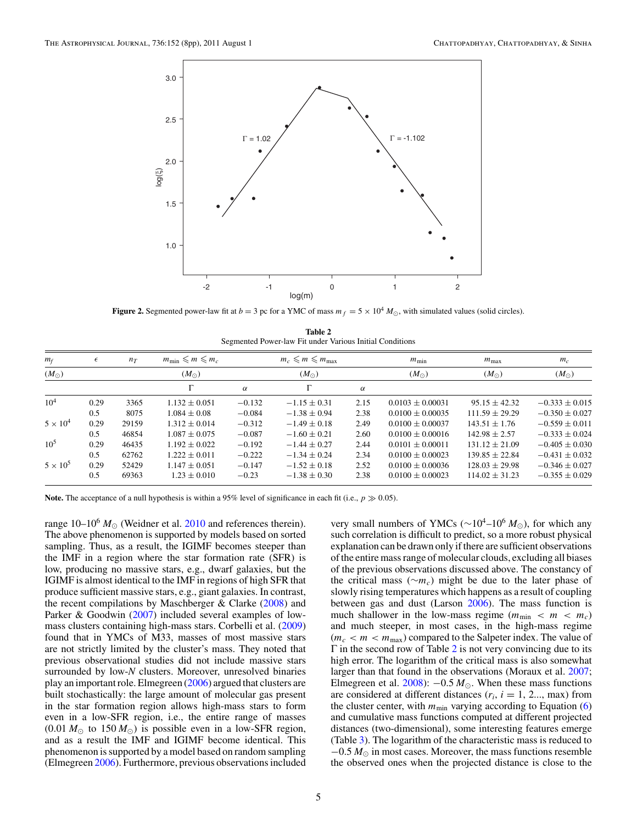<span id="page-4-0"></span>

**Figure 2.** Segmented power-law fit at  $b = 3$  pc for a YMC of mass  $m_f = 5 \times 10^4 M_{\odot}$ , with simulated values (solid circles).

| Table 2                                                  |  |
|----------------------------------------------------------|--|
| Segmented Power-law Fit under Various Initial Conditions |  |

| $m_f$           | $\epsilon$ | $n_T$ | $m_{\min} \leq m \leq m_c$ |          | $m_c \leqslant m \leqslant m_{\text{max}}$ |          | $m_{\min}$           | $m_{\text{max}}$   | $m_c$              |  |
|-----------------|------------|-------|----------------------------|----------|--------------------------------------------|----------|----------------------|--------------------|--------------------|--|
| $(M_{\odot})$   |            |       | $(M_{\odot})$              |          | $(M_{\odot})$                              |          | $(M_{\odot})$        | $(M_{\odot})$      | $(M_{\odot})$      |  |
|                 |            |       |                            | $\alpha$ | г                                          | $\alpha$ |                      |                    |                    |  |
| $10^4$          | 0.29       | 3365  | $1.132 \pm 0.051$          | $-0.132$ | $-1.15 \pm 0.31$                           | 2.15     | $0.0103 + 0.00031$   | $95.15 + 42.32$    | $-0.333 + 0.015$   |  |
|                 | 0.5        | 8075  | $1.084 \pm 0.08$           | $-0.084$ | $-1.38 \pm 0.94$                           | 2.38     | $0.0100 + 0.00035$   | $111.59 + 29.29$   | $-0.350 + 0.027$   |  |
| $5 \times 10^4$ | 0.29       | 29159 | $1.312 \pm 0.014$          | $-0.312$ | $-1.49 \pm 0.18$                           | 2.49     | $0.0100 + 0.00037$   | $143.51 \pm 1.76$  | $-0.559 \pm 0.011$ |  |
|                 | 0.5        | 46854 | $1.087 \pm 0.075$          | $-0.087$ | $-1.60 \pm 0.21$                           | 2.60     | $0.0100 + 0.00016$   | $142.98 \pm 2.57$  | $-0.333 + 0.024$   |  |
| $10^5$          | 0.29       | 46435 | $1.192 \pm 0.022$          | $-0.192$ | $-1.44 \pm 0.27$                           | 2.44     | $0.0101 + 0.00011$   | $131.12 \pm 21.09$ | $-0.405 + 0.030$   |  |
|                 | 0.5        | 62762 | $1.222 \pm 0.011$          | $-0.222$ | $-1.34 \pm 0.24$                           | 2.34     | $0.0100 \pm 0.00023$ | $139.85 + 22.84$   | $-0.431 + 0.032$   |  |
| $5 \times 10^5$ | 0.29       | 52429 | $1.147 \pm 0.051$          | $-0.147$ | $-1.52 \pm 0.18$                           | 2.52     | $0.0100 + 0.00036$   | $128.03 + 29.98$   | $-0.346 + 0.027$   |  |
|                 | 0.5        | 69363 | $1.23 \pm 0.010$           | $-0.23$  | $-1.38 \pm 0.30$                           | 2.38     | $0.0100 + 0.00023$   | $114.02 + 31.23$   | $-0.355 \pm 0.029$ |  |

**Note.** The acceptance of a null hypothesis is within a 95% level of significance in each fit (i.e.,  $p \gg 0.05$ ).

range  $10-10^6$   $M_{\odot}$  (Weidner et al. [2010](#page-7-0) and references therein). The above phenomenon is supported by models based on sorted sampling. Thus, as a result, the IGIMF becomes steeper than the IMF in a region where the star formation rate (SFR) is low, producing no massive stars, e.g., dwarf galaxies, but the IGIMF is almost identical to the IMF in regions of high SFR that produce sufficient massive stars, e.g., giant galaxies. In contrast, the recent compilations by Maschberger  $\&$  Clarke [\(2008\)](#page-7-0) and Parker & Goodwin [\(2007\)](#page-7-0) included several examples of lowmass clusters containing high-mass stars. Corbelli et al. [\(2009\)](#page-7-0) found that in YMCs of M33, masses of most massive stars are not strictly limited by the cluster's mass. They noted that previous observational studies did not include massive stars surrounded by low-*N* clusters. Moreover, unresolved binaries play an important role. Elmegreen [\(2006\)](#page-7-0) argued that clusters are built stochastically: the large amount of molecular gas present in the star formation region allows high-mass stars to form even in a low-SFR region, i.e., the entire range of masses  $(0.01 M_{\odot}$  to  $150 M_{\odot})$  is possible even in a low-SFR region, and as a result the IMF and IGIMF become identical. This phenomenon is supported by a model based on random sampling (Elmegreen [2006\)](#page-7-0). Furthermore, previous observations included

very small numbers of YMCs (~10<sup>4</sup>–10<sup>6</sup> *M*<sub>∩</sub>), for which any such correlation is difficult to predict, so a more robust physical explanation can be drawn only if there are sufficient observations of the entire mass range of molecular clouds, excluding all biases of the previous observations discussed above. The constancy of the critical mass (∼*mc*) might be due to the later phase of slowly rising temperatures which happens as a result of coupling between gas and dust (Larson [2006\)](#page-7-0). The mass function is much shallower in the low-mass regime  $(m_{\text{min}} < m < m_c)$ and much steeper, in most cases, in the high-mass regime  $(m_c < m < m_{\text{max}})$  compared to the Salpeter index. The value of  $\Gamma$  in the second row of Table 2 is not very convincing due to its high error. The logarithm of the critical mass is also somewhat larger than that found in the observations (Moraux et al. [2007;](#page-7-0) Elmegreen et al.  $2008$ :  $-0.5 M_{\odot}$ . When these mass functions are considered at different distances  $(r_i, i = 1, 2, \ldots, m$ ax) from the cluster center, with  $m_{\text{min}}$  varying according to Equation [\(6\)](#page-2-0) and cumulative mass functions computed at different projected distances (two-dimensional), some interesting features emerge (Table [3\)](#page-5-0). The logarithm of the characteristic mass is reduced to  $-0.5 M_{\odot}$  in most cases. Moreover, the mass functions resemble the observed ones when the projected distance is close to the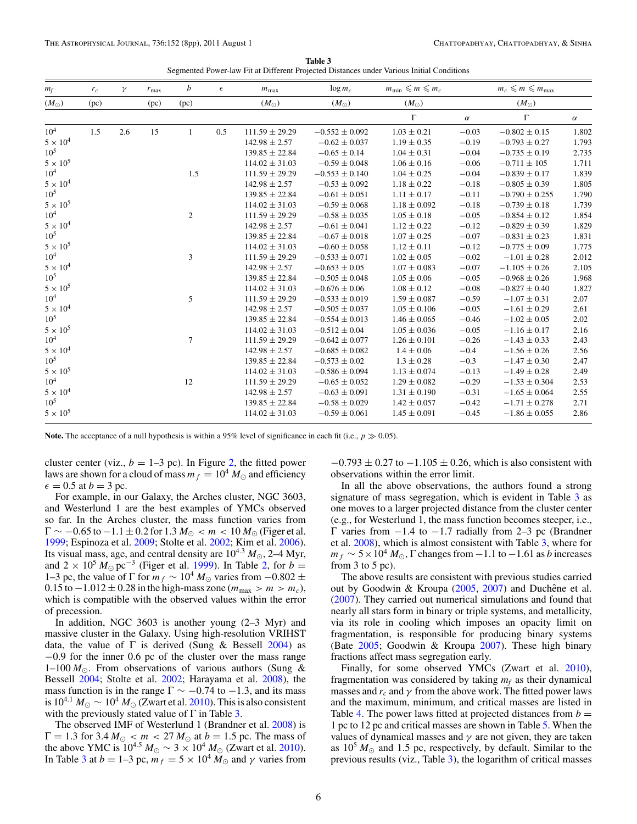| Table 3                                                                                   |  |
|-------------------------------------------------------------------------------------------|--|
| Segmented Power-law Fit at Different Projected Distances under Various Initial Conditions |  |

<span id="page-5-0"></span>

| $m_f$           | $r_c$ | γ   | $r_{\text{max}}$ | b              | $\epsilon$ | $m_{\text{max}}$   | $\log m_c$         | $m_{\min} \leq m \leq m_c$ |          | $m_c \leqslant m \leqslant m_{\text{max}}$ |          |
|-----------------|-------|-----|------------------|----------------|------------|--------------------|--------------------|----------------------------|----------|--------------------------------------------|----------|
| $(M_{\odot})$   | (pc)  |     | (pc)             | (pc)           |            | $(M_{\odot})$      | $(M_{\odot})$      | $(M_{\odot})$              |          | $(M_{\odot})$                              |          |
|                 |       |     |                  |                |            |                    |                    | $\Gamma$                   | $\alpha$ | $\Gamma$                                   | $\alpha$ |
| 10 <sup>4</sup> | 1.5   | 2.6 | 15               | $\mathbf{1}$   | 0.5        | $111.59 \pm 29.29$ | $-0.552 \pm 0.092$ | $1.03 \pm 0.21$            | $-0.03$  | $-0.802 \pm 0.15$                          | 1.802    |
| $5\times10^4$   |       |     |                  |                |            | $142.98 \pm 2.57$  | $-0.62 \pm 0.037$  | $1.19 \pm 0.35$            | $-0.19$  | $-0.793 \pm 0.27$                          | 1.793    |
| 10 <sup>5</sup> |       |     |                  |                |            | $139.85 \pm 22.84$ | $-0.65 \pm 0.14$   | $1.04 \pm 0.31$            | $-0.04$  | $-0.735 \pm 0.19$                          | 2.735    |
| $5 \times 10^5$ |       |     |                  |                |            | $114.02 \pm 31.03$ | $-0.59 \pm 0.048$  | $1.06 \pm 0.16$            | $-0.06$  | $-0.711 \pm 105$                           | 1.711    |
| 10 <sup>4</sup> |       |     |                  | 1.5            |            | $111.59 \pm 29.29$ | $-0.553 \pm 0.140$ | $1.04 \pm 0.25$            | $-0.04$  | $-0.839 \pm 0.17$                          | 1.839    |
| $5\times10^4$   |       |     |                  |                |            | $142.98 \pm 2.57$  | $-0.53 \pm 0.092$  | $1.18 \pm 0.22$            | $-0.18$  | $-0.805 \pm 0.39$                          | 1.805    |
| $10^{5}$        |       |     |                  |                |            | $139.85 \pm 22.84$ | $-0.61 \pm 0.051$  | $1.11 \pm 0.17$            | $-0.11$  | $-0.790 \pm 0.255$                         | 1.790    |
| $5 \times 10^5$ |       |     |                  |                |            | $114.02 \pm 31.03$ | $-0.59 \pm 0.068$  | $1.18 \pm 0.092$           | $-0.18$  | $-0.739 \pm 0.18$                          | 1.739    |
| $10^{4}$        |       |     |                  | $\overline{c}$ |            | $111.59 \pm 29.29$ | $-0.58 \pm 0.035$  | $1.05 \pm 0.18$            | $-0.05$  | $-0.854 \pm 0.12$                          | 1.854    |
| $5 \times 10^4$ |       |     |                  |                |            | $142.98 \pm 2.57$  | $-0.61 \pm 0.041$  | $1.12 \pm 0.22$            | $-0.12$  | $-0.829 \pm 0.39$                          | 1.829    |
| $10^5\,$        |       |     |                  |                |            | $139.85 \pm 22.84$ | $-0.67 \pm 0.018$  | $1.07 \pm 0.25$            | $-0.07$  | $-0.831 \pm 0.23$                          | 1.831    |
| $5\times10^5$   |       |     |                  |                |            | $114.02 \pm 31.03$ | $-0.60 \pm 0.058$  | $1.12 \pm 0.11$            | $-0.12$  | $-0.775 \pm 0.09$                          | 1.775    |
| $10^{4}$        |       |     |                  | 3              |            | $111.59 \pm 29.29$ | $-0.533 \pm 0.071$ | $1.02 \pm 0.05$            | $-0.02$  | $-1.01 \pm 0.28$                           | 2.012    |
| $5 \times 10^4$ |       |     |                  |                |            | $142.98 \pm 2.57$  | $-0.653 \pm 0.05$  | $1.07 \pm 0.083$           | $-0.07$  | $-1.105 \pm 0.26$                          | 2.105    |
| $10^5$          |       |     |                  |                |            | $139.85 \pm 22.84$ | $-0.505 \pm 0.048$ | $1.05 \pm 0.06$            | $-0.05$  | $-0.968 \pm 0.26$                          | 1.968    |
| $5 \times 10^5$ |       |     |                  |                |            | $114.02 \pm 31.03$ | $-0.676 \pm 0.06$  | $1.08 \pm 0.12$            | $-0.08$  | $-0.827 \pm 0.40$                          | 1.827    |
| 10 <sup>4</sup> |       |     |                  | 5              |            | $111.59 \pm 29.29$ | $-0.533 \pm 0.019$ | $1.59 \pm 0.087$           | $-0.59$  | $-1.07 \pm 0.31$                           | 2.07     |
| $5\times10^4$   |       |     |                  |                |            | $142.98 \pm 2.57$  | $-0.505 \pm 0.037$ | $1.05 \pm 0.106$           | $-0.05$  | $-1.61 \pm 0.29$                           | 2.61     |
| $10^{5}$        |       |     |                  |                |            | $139.85 \pm 22.84$ | $-0.554 \pm 0.013$ | $1.46 \pm 0.065$           | $-0.46$  | $-1.02 \pm 0.05$                           | 2.02     |
| $5 \times 10^5$ |       |     |                  |                |            | $114.02 \pm 31.03$ | $-0.512 \pm 0.04$  | $1.05 \pm 0.036$           | $-0.05$  | $-1.16 \pm 0.17$                           | 2.16     |
| 10 <sup>4</sup> |       |     |                  | $\overline{7}$ |            | $111.59 \pm 29.29$ | $-0.642 \pm 0.077$ | $1.26 \pm 0.101$           | $-0.26$  | $-1.43 \pm 0.33$                           | 2.43     |
| $5 \times 10^4$ |       |     |                  |                |            | $142.98 \pm 2.57$  | $-0.685 \pm 0.082$ | $1.4 \pm 0.06$             | $-0.4$   | $-1.56 \pm 0.26$                           | 2.56     |
| $10^{5}$        |       |     |                  |                |            | $139.85 \pm 22.84$ | $-0.573 \pm 0.02$  | $1.3 \pm 0.28$             | $-0.3$   | $-1.47 \pm 0.30$                           | 2.47     |
| $5 \times 10^5$ |       |     |                  |                |            | $114.02 \pm 31.03$ | $-0.586 \pm 0.094$ | $1.13 \pm 0.074$           | $-0.13$  | $-1.49 \pm 0.28$                           | 2.49     |
| 10 <sup>4</sup> |       |     |                  | 12             |            | $111.59 \pm 29.29$ | $-0.65 \pm 0.052$  | $1.29 \pm 0.082$           | $-0.29$  | $-1.53 \pm 0.304$                          | 2.53     |
| $5\times10^4$   |       |     |                  |                |            | $142.98 \pm 2.57$  | $-0.63 \pm 0.091$  | $1.31 \pm 0.190$           | $-0.31$  | $-1.65 \pm 0.064$                          | 2.55     |
| $10^{5}$        |       |     |                  |                |            | $139.85 \pm 22.84$ | $-0.58 \pm 0.029$  | $1.42 \pm 0.057$           | $-0.42$  | $-1.71 \pm 0.278$                          | 2.71     |
| $5 \times 10^5$ |       |     |                  |                |            | $114.02 \pm 31.03$ | $-0.59 \pm 0.061$  | $1.45 \pm 0.091$           | $-0.45$  | $-1.86 \pm 0.055$                          | 2.86     |

**Note.** The acceptance of a null hypothesis is within a 95% level of significance in each fit (i.e.,  $p \gg 0.05$ ).

cluster center (viz.,  $b = 1-3$  pc). In Figure [2,](#page-4-0) the fitted power laws are shown for a cloud of mass  $m_f = 10^4 M_{\odot}$  and efficiency  $\epsilon = 0.5$  at  $b = 3$  pc.

For example, in our Galaxy, the Arches cluster, NGC 3603, and Westerlund 1 are the best examples of YMCs observed so far. In the Arches cluster, the mass function varies from  $\Gamma \sim -0.65$  to  $-1.1 \pm 0.2$  for  $1.3 M_{\odot} < m < 10 M_{\odot}$  (Figer et al. [1999;](#page-7-0) Espinoza et al. [2009;](#page-7-0) Stolte et al. [2002;](#page-7-0) Kim et al. [2006\)](#page-7-0). Its visual mass, age, and central density are  $10^{4.3} M_{\odot}$ , 2–4 Myr, and  $2 \times 10^5 M_{\odot}$  pc<sup>-3</sup> (Figer et al. [1999\)](#page-7-0). In Table [2,](#page-4-0) for *b* = 1–3 pc, the value of  $\Gamma$  for  $m_f \sim 10^4 M_{\odot}$  varies from −0.802 ±  $0.15$  to  $-1.012 \pm 0.28$  in the high-mass zone ( $m_{\text{max}} > m > m_c$ ), which is compatible with the observed values within the error of precession.

In addition, NGC 3603 is another young (2–3 Myr) and massive cluster in the Galaxy. Using high-resolution VRIHST data, the value of  $\Gamma$  is derived (Sung & Bessell [2004\)](#page-7-0) as −0.9 for the inner 0.6 pc of the cluster over the mass range 1–100  $M_{\odot}$ . From observations of various authors (Sung & Bessell [2004;](#page-7-0) Stolte et al. [2002;](#page-7-0) Harayama et al. [2008\)](#page-7-0), the mass function is in the range  $\Gamma \sim -0.74$  to  $-1.3$ , and its mass is  $10^{4.1} M_{\odot} \sim 10^4 M_{\odot}$  (Zwart et al. [2010\)](#page-7-0). This is also consistent with the previously stated value of  $\Gamma$  in Table 3.

The observed IMF of Westerlund 1 (Brandner et al. [2008\)](#page-7-0) is  $\Gamma = 1.3$  for  $3.4 M_{\odot} < m < 27 M_{\odot}$  at  $b = 1.5$  pc. The mass of the above YMC is  $10^{4.5} M_{\odot} \sim 3 \times 10^4 M_{\odot}$  (Zwart et al. [2010\)](#page-7-0). In Table 3 at  $b = 1-3$  pc,  $m_f = 5 \times 10^4$   $M_\odot$  and  $\gamma$  varies from

 $-0.793 \pm 0.27$  to  $-1.105 \pm 0.26$ , which is also consistent with observations within the error limit.

In all the above observations, the authors found a strong signature of mass segregation, which is evident in Table 3 as one moves to a larger projected distance from the cluster center (e.g., for Westerlund 1, the mass function becomes steeper, i.e., Γ varies from −1.4 to −1.7 radially from 2–3 pc (Brandner et al. [2008\)](#page-7-0), which is almost consistent with Table 3, where for  $m_f \sim 5 \times 10^4 M_{\odot}$ ,  $\Gamma$  changes from  $-1.1$  to  $-1.61$  as *b* increases from  $3$  to  $5$  pc).

The above results are consistent with previous studies carried out by Goodwin & Kroupa [\(2005,](#page-7-0) [2007\)](#page-7-0) and Duchêne et al. [\(2007\)](#page-7-0). They carried out numerical simulations and found that nearly all stars form in binary or triple systems, and metallicity, via its role in cooling which imposes an opacity limit on fragmentation, is responsible for producing binary systems (Bate [2005;](#page-7-0) Goodwin & Kroupa [2007\)](#page-7-0). These high binary fractions affect mass segregation early.

Finally, for some observed YMCs (Zwart et al. [2010\)](#page-7-0), fragmentation was considered by taking  $m_f$  as their dynamical masses and  $r_c$  and  $\gamma$  from the above work. The fitted power laws and the maximum, minimum, and critical masses are listed in Table [4.](#page-6-0) The power laws fitted at projected distances from  $b =$ 1 pc to 12 pc and critical masses are shown in Table [5.](#page-6-0) When the values of dynamical masses and  $\gamma$  are not given, they are taken as  $10^5 M_{\odot}$  and 1.5 pc, respectively, by default. Similar to the previous results (viz., Table 3), the logarithm of critical masses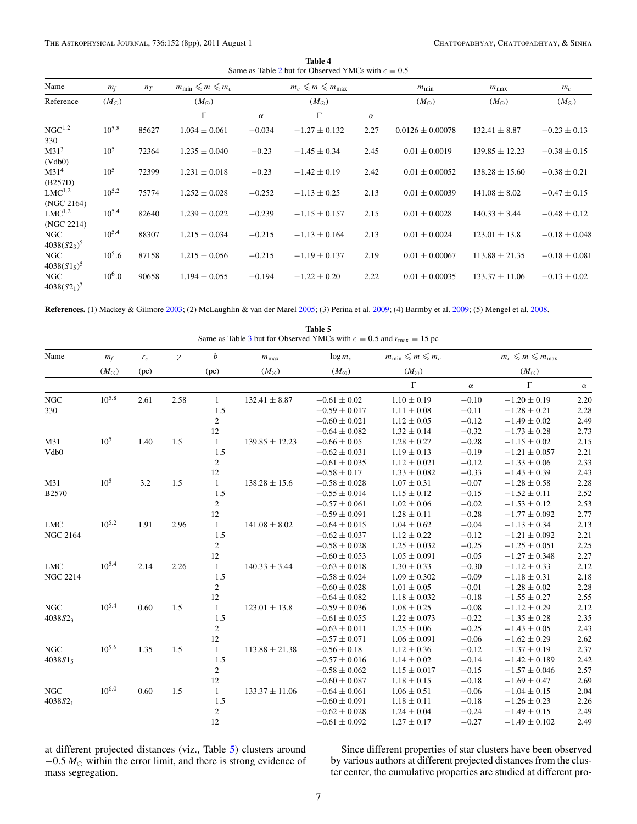| Table 4                                                     |  |
|-------------------------------------------------------------|--|
| Same as Table 2 but for Observed YMCs with $\epsilon = 0.5$ |  |

<span id="page-6-0"></span>

| Name                         | $m_f$         | $n_T$ | $m_{\min} \leq m \leq m_c$ |          | $m_c \leqslant m \leqslant m_{\text{max}}$ |          | $m_{\min}$           | $m_{\text{max}}$   | $m_c$             |
|------------------------------|---------------|-------|----------------------------|----------|--------------------------------------------|----------|----------------------|--------------------|-------------------|
| Reference                    | $(M_{\odot})$ |       | $(M_{\odot})$              |          | $(M_{\odot})$                              |          | $(M_{\odot})$        | $(M_{\odot})$      | $(M_{\odot})$     |
|                              |               |       | $\Gamma$                   | $\alpha$ | $\Gamma$                                   | $\alpha$ |                      |                    |                   |
| NGC <sup>1.2</sup><br>330    | $10^{5.8}$    | 85627 | $1.034 \pm 0.061$          | $-0.034$ | $-1.27 \pm 0.132$                          | 2.27     | $0.0126 \pm 0.00078$ | $132.41 \pm 8.87$  | $-0.23 \pm 0.13$  |
| M31 <sup>3</sup><br>(Vdb0)   | $10^{5}$      | 72364 | $1.235 \pm 0.040$          | $-0.23$  | $-1.45 \pm 0.34$                           | 2.45     | $0.01 \pm 0.0019$    | $139.85 \pm 12.23$ | $-0.38 \pm 0.15$  |
| M31 <sup>4</sup><br>(B257D)  | $10^{5}$      | 72399 | $1.231 \pm 0.018$          | $-0.23$  | $-1.42 \pm 0.19$                           | 2.42     | $0.01 \pm 0.00052$   | $138.28 \pm 15.60$ | $-0.38 \pm 0.21$  |
| $LMC^{1.2}$<br>(NGC 2164)    | $10^{5.2}$    | 75774 | $1.252 \pm 0.028$          | $-0.252$ | $-1.13 \pm 0.25$                           | 2.13     | $0.01 \pm 0.00039$   | $141.08 \pm 8.02$  | $-0.47 \pm 0.15$  |
| $LMC^{1.2}$<br>(NGC 2214)    | $10^{5.4}$    | 82640 | $1.239 \pm 0.022$          | $-0.239$ | $-1.15 \pm 0.157$                          | 2.15     | $0.01 \pm 0.0028$    | $140.33 \pm 3.44$  | $-0.48 \pm 0.12$  |
| NGC<br>$4038(S2_3)^5$        | $10^{5.4}$    | 88307 | $1.215 \pm 0.034$          | $-0.215$ | $-1.13 \pm 0.164$                          | 2.13     | $0.01 \pm 0.0024$    | $123.01 \pm 13.8$  | $-0.18 \pm 0.048$ |
| <b>NGC</b><br>$4038(S1_5)^5$ | $10^5.6$      | 87158 | $1.215 \pm 0.056$          | $-0.215$ | $-1.19 \pm 0.137$                          | 2.19     | $0.01 \pm 0.00067$   | $113.88 \pm 21.35$ | $-0.18 \pm 0.081$ |
| <b>NGC</b><br>$4038(S2_1)^5$ | $10^{6}.0$    | 90658 | $1.194 \pm 0.055$          | $-0.194$ | $-1.22 \pm 0.20$                           | 2.22     | $0.01 \pm 0.00035$   | $133.37 \pm 11.06$ | $-0.13 \pm 0.02$  |

**References.** (1) Mackey & Gilmore [2003;](#page-7-0) (2) McLaughlin & van der Marel [2005;](#page-7-0) (3) Perina et al. [2009;](#page-7-0) (4) Barmby et al. [2009;](#page-7-0) (5) Mengel et al. [2008.](#page-7-0)

| Table 5<br>Same as Table 3 but for Observed YMCs with $\epsilon = 0.5$ and $r_{\text{max}} = 15$ pc |               |         |      |                  |                    |                   |                            |          |                                            |          |
|-----------------------------------------------------------------------------------------------------|---------------|---------|------|------------------|--------------------|-------------------|----------------------------|----------|--------------------------------------------|----------|
| Name                                                                                                | $m_f$         | $r_c\,$ | γ    | $\boldsymbol{b}$ | $m_{\text{max}}$   | $\log m_c$        | $m_{\min} \leq m \leq m_c$ |          | $m_c \leqslant m \leqslant m_{\text{max}}$ |          |
|                                                                                                     | $(M_{\odot})$ | (pc)    |      | (pc)             | $(M_{\odot})$      | $(M_{\odot})$     | $(M_{\odot})$              |          | $(M_{\odot})$                              |          |
|                                                                                                     |               |         |      |                  |                    |                   | $\Gamma$                   | $\alpha$ | $\Gamma$                                   | $\alpha$ |
| NGC                                                                                                 | $10^{5.8}$    | 2.61    | 2.58 | $\mathbf{1}$     | $132.41 \pm 8.87$  | $-0.61 \pm 0.02$  | $1.10 \pm 0.19$            | $-0.10$  | $-1.20 \pm 0.19$                           | 2.20     |
| 330                                                                                                 |               |         |      | 1.5              |                    | $-0.59 \pm 0.017$ | $1.11 \pm 0.08$            | $-0.11$  | $-1.28 \pm 0.21$                           | 2.28     |
|                                                                                                     |               |         |      | $\boldsymbol{2}$ |                    | $-0.60 \pm 0.021$ | $1.12\pm0.05$              | $-0.12$  | $-1.49 \pm 0.02$                           | 2.49     |
|                                                                                                     |               |         |      | 12               |                    | $-0.64 \pm 0.082$ | $1.32 \pm 0.14$            | $-0.32$  | $-1.73 \pm 0.28$                           | 2.73     |
| M31                                                                                                 | $10^{5}$      | 1.40    | 1.5  | $\mathbf{1}$     | $139.85 \pm 12.23$ | $-0.66 \pm 0.05$  | $1.28 \pm 0.27$            | $-0.28$  | $-1.15 \pm 0.02$                           | 2.15     |
| Vdb0                                                                                                |               |         |      | 1.5              |                    | $-0.62 \pm 0.031$ | $1.19 \pm 0.13$            | $-0.19$  | $-1.21 \pm 0.057$                          | 2.21     |
|                                                                                                     |               |         |      | $\overline{c}$   |                    | $-0.61 \pm 0.035$ | $1.12 \pm 0.021$           | $-0.12$  | $-1.33 \pm 0.06$                           | 2.33     |
|                                                                                                     |               |         |      | 12               |                    | $-0.58 \pm 0.17$  | $1.33 \pm 0.082$           | $-0.33$  | $-1.43 \pm 0.39$                           | 2.43     |
| M31                                                                                                 | $10^{5}$      | 3.2     | 1.5  | $\mathbf{1}$     | $138.28 \pm 15.6$  | $-0.58 \pm 0.028$ | $1.07 \pm 0.31$            | $-0.07$  | $-1.28 \pm 0.58$                           | 2.28     |
| <b>B2570</b>                                                                                        |               |         |      | 1.5              |                    | $-0.55 \pm 0.014$ | $1.15 \pm 0.12$            | $-0.15$  | $-1.52 \pm 0.11$                           | 2.52     |
|                                                                                                     |               |         |      | $\overline{c}$   |                    | $-0.57 \pm 0.061$ | $1.02 \pm 0.06$            | $-0.02$  | $-1.53 \pm 0.12$                           | 2.53     |
|                                                                                                     |               |         |      | $12\,$           |                    | $-0.59 \pm 0.091$ | $1.28 \pm 0.11$            | $-0.28$  | $-1.77 \pm 0.092$                          | 2.77     |
| ${\rm LMC}$                                                                                         | $10^{5.2}$    | 1.91    | 2.96 | $\mathbf{1}$     | $141.08 \pm 8.02$  | $-0.64 \pm 0.015$ | $1.04 \pm 0.62$            | $-0.04$  | $-1.13\pm0.34$                             | 2.13     |
| <b>NGC 2164</b>                                                                                     |               |         |      | 1.5              |                    | $-0.62 \pm 0.037$ | $1.12 \pm 0.22$            | $-0.12$  | $-1.21 \pm 0.092$                          | 2.21     |
|                                                                                                     |               |         |      | $\mathbf{2}$     |                    | $-0.58 \pm 0.028$ | $1.25 \pm 0.032$           | $-0.25$  | $-1.25 \pm 0.051$                          | 2.25     |
|                                                                                                     |               |         |      | $12\,$           |                    | $-0.60 \pm 0.053$ | $1.05 \pm 0.091$           | $-0.05$  | $-1.27 \pm 0.348$                          | 2.27     |
| ${\rm LMC}$                                                                                         | $10^{5.4}$    | 2.14    | 2.26 | $\mathbf{1}$     | $140.33 \pm 3.44$  | $-0.63 \pm 0.018$ | $1.30 \pm 0.33$            | $-0.30$  | $-1.12 \pm 0.33$                           | 2.12     |
| <b>NGC 2214</b>                                                                                     |               |         |      | 1.5              |                    | $-0.58 \pm 0.024$ | $1.09 \pm 0.302$           | $-0.09$  | $-1.18 \pm 0.31$                           | 2.18     |
|                                                                                                     |               |         |      | $\overline{c}$   |                    | $-0.60 \pm 0.028$ | $1.01 \pm 0.05$            | $-0.01$  | $-1.28 \pm 0.02$                           | 2.28     |
|                                                                                                     |               |         |      | 12               |                    | $-0.64 \pm 0.082$ | $1.18 \pm 0.032$           | $-0.18$  | $-1.55 \pm 0.27$                           | 2.55     |
| <b>NGC</b>                                                                                          | $10^{5.4}$    | 0.60    | 1.5  | $\mathbf{1}$     | $123.01 \pm 13.8$  | $-0.59 \pm 0.036$ | $1.08 \pm 0.25$            | $-0.08$  | $-1.12 \pm 0.29$                           | 2.12     |
| 4038523                                                                                             |               |         |      | 1.5              |                    | $-0.61 \pm 0.055$ | $1.22 \pm 0.073$           | $-0.22$  | $-1.35 \pm 0.28$                           | 2.35     |
|                                                                                                     |               |         |      | $\mathbf{2}$     |                    | $-0.63 \pm 0.011$ | $1.25 \pm 0.06$            | $-0.25$  | $-1.43 \pm 0.05$                           | 2.43     |
|                                                                                                     |               |         |      | 12               |                    | $-0.57 \pm 0.071$ | $1.06 \pm 0.091$           | $-0.06$  | $-1.62 \pm 0.29$                           | 2.62     |
| NGC                                                                                                 | $10^{5.6}$    | 1.35    | 1.5  | $\mathbf{1}$     | $113.88 \pm 21.38$ | $-0.56 \pm 0.18$  | $1.12 \pm 0.36$            | $-0.12$  | $-1.37 \pm 0.19$                           | 2.37     |
| $4038S1_5$                                                                                          |               |         |      | 1.5              |                    | $-0.57 \pm 0.016$ | $1.14 \pm 0.02$            | $-0.14$  | $-1.42 \pm 0.189$                          | 2.42     |
|                                                                                                     |               |         |      | $\overline{c}$   |                    | $-0.58 \pm 0.062$ | $1.15 \pm 0.017$           | $-0.15$  | $-1.57 \pm 0.046$                          | 2.57     |
|                                                                                                     |               |         |      | 12               |                    | $-0.60 \pm 0.087$ | $1.18 \pm 0.15$            | $-0.18$  | $-1.69 \pm 0.47$                           | 2.69     |
| <b>NGC</b>                                                                                          | $10^{6.0}$    | 0.60    | 1.5  | $\mathbf{1}$     | $133.37 \pm 11.06$ | $-0.64 \pm 0.061$ | $1.06 \pm 0.51$            | $-0.06$  | $-1.04 \pm 0.15$                           | 2.04     |
| $4038S2_1$                                                                                          |               |         |      | 1.5              |                    | $-0.60 \pm 0.091$ | $1.18 \pm 0.11$            | $-0.18$  | $-1.26 \pm 0.23$                           | 2.26     |
|                                                                                                     |               |         |      | $\boldsymbol{2}$ |                    | $-0.62 \pm 0.028$ | $1.24 \pm 0.04$            | $-0.24$  | $-1.49 \pm 0.15$                           | 2.49     |
|                                                                                                     |               |         |      | 12               |                    | $-0.61 \pm 0.092$ | $1.27 \pm 0.17$            | $-0.27$  | $-1.49 \pm 0.102$                          | 2.49     |

at different projected distances (viz., Table 5) clusters around  $-0.5 M_{\odot}$  within the error limit, and there is strong evidence of mass segregation.

Since different properties of star clusters have been observed by various authors at different projected distances from the cluster center, the cumulative properties are studied at different pro